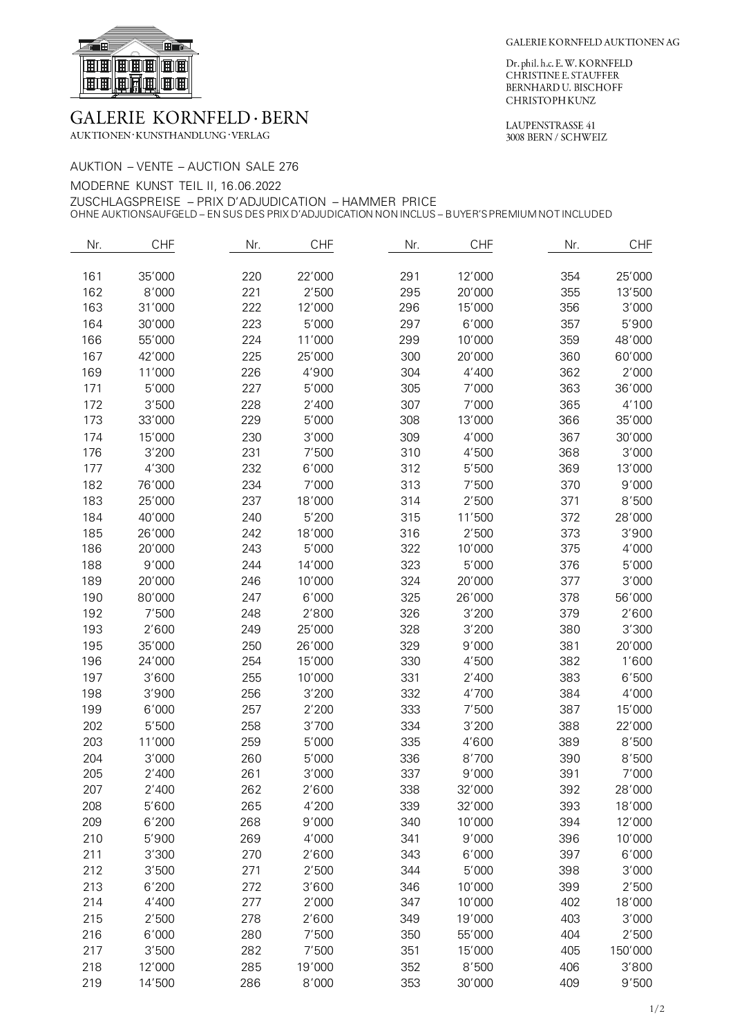

## **GALERIE KORNFELD · BERN**

 $\operatorname{AUKTIONEN} \cdot \operatorname{KUNSTHANDLUNG} \cdot \operatorname{VERLAG}$ 

Dr. phil. h.c. E. W. KORNFELD<br>CHRISTINE E. STAUFFER BERNHARD U. BISCHOFF CHRISTOPH KUNZ

LAUPENSTRASSE 41 3008 BERN / SCHWEIZ

| AUKTION – VENTE – AUCTION SALE 276                                                              |
|-------------------------------------------------------------------------------------------------|
| MODERNE KUNST TEIL II. 16.06.2022                                                               |
| ZUSCHLAGSPREISE – PRIX D'ADJUDICATION – HAMMER PRICE                                            |
| OHNE AUKTIONSAUFGELD – EN SUS DES PRIX D'ADJUDICATION NON INCLUS – BUYER'S PREMIUM NOT INCLUDED |

| Nr. | <b>CHF</b> | Nr. | <b>CHF</b> | Nr. | <b>CHF</b> | Nr. | <b>CHF</b> |
|-----|------------|-----|------------|-----|------------|-----|------------|
| 161 | 35'000     | 220 | 22'000     | 291 | 12'000     | 354 | 25'000     |
| 162 | 8'000      | 221 | 2'500      | 295 | 20'000     | 355 | 13'500     |
| 163 | 31'000     | 222 | 12'000     | 296 | 15'000     | 356 | 3'000      |
| 164 | 30'000     | 223 | 5'000      | 297 | 6'000      | 357 | 5'900      |
| 166 | 55'000     | 224 | 11'000     | 299 | 10'000     | 359 | 48'000     |
| 167 | 42'000     | 225 | 25'000     | 300 | 20'000     | 360 | 60'000     |
| 169 | 11'000     | 226 | 4'900      | 304 | 4'400      | 362 | 2'000      |
| 171 | 5'000      | 227 | 5'000      | 305 | 7'000      | 363 | 36'000     |
| 172 | 3'500      | 228 | 2'400      | 307 | 7'000      | 365 | 4'100      |
| 173 | 33'000     | 229 | 5'000      | 308 | 13'000     | 366 | 35'000     |
| 174 | 15'000     | 230 | 3'000      | 309 | 4'000      | 367 | 30'000     |
| 176 | 3'200      | 231 | 7'500      | 310 | 4'500      | 368 | 3'000      |
| 177 | 4'300      | 232 | 6'000      | 312 | 5'500      | 369 | 13'000     |
| 182 | 76'000     | 234 | 7'000      | 313 | 7'500      | 370 | 9'000      |
| 183 | 25'000     | 237 | 18'000     | 314 | 2'500      | 371 | 8'500      |
| 184 | 40'000     | 240 | 5'200      | 315 | 11'500     | 372 | 28'000     |
| 185 | 26'000     | 242 | 18'000     | 316 | 2'500      | 373 | 3'900      |
| 186 | 20'000     | 243 | 5'000      | 322 | 10'000     | 375 | 4'000      |
| 188 | 9'000      | 244 | 14'000     | 323 | 5'000      | 376 | 5'000      |
| 189 | 20'000     | 246 | 10'000     | 324 | 20'000     | 377 | 3'000      |
| 190 | 80'000     | 247 | 6'000      | 325 | 26'000     | 378 | 56'000     |
| 192 | 7'500      | 248 | 2'800      | 326 | 3'200      | 379 | 2'600      |
| 193 | 2'600      | 249 | 25'000     | 328 | 3'200      | 380 | 3'300      |
| 195 | 35'000     | 250 | 26'000     | 329 | 9'000      | 381 | 20'000     |
| 196 | 24'000     | 254 | 15'000     | 330 | 4'500      | 382 | 1'600      |
| 197 | 3'600      | 255 | 10'000     | 331 | 2'400      | 383 | 6'500      |
| 198 | 3'900      | 256 | 3'200      | 332 | 4'700      | 384 | 4'000      |
| 199 | 6'000      | 257 | 2'200      | 333 | 7'500      | 387 | 15'000     |
| 202 | 5'500      | 258 | 3'700      | 334 | 3'200      | 388 | 22'000     |
| 203 | 11'000     | 259 | 5'000      | 335 | 4'600      | 389 | 8'500      |
| 204 | 3'000      | 260 | 5'000      | 336 | 8'700      | 390 | 8'500      |
| 205 | 2'400      | 261 | 3'000      | 337 | 9'000      | 391 | 7'000      |
| 207 | 2'400      | 262 | 2'600      | 338 | 32'000     | 392 | 28'000     |
| 208 | 5'600      | 265 | 4'200      | 339 | 32'000     | 393 | 18'000     |
| 209 | 6'200      | 268 | 9'000      | 340 | 10'000     | 394 | 12'000     |
| 210 | 5'900      | 269 | 4'000      | 341 | 9'000      | 396 | 10'000     |
| 211 | 3'300      | 270 | 2'600      | 343 | 6'000      | 397 | 6'000      |
| 212 | 3'500      | 271 | 2'500      | 344 | 5'000      | 398 | 3'000      |
| 213 | 6'200      | 272 | 3'600      | 346 | 10'000     | 399 | 2'500      |
| 214 | 4'400      | 277 | 2'000      | 347 | 10'000     | 402 | 18'000     |
| 215 | 2'500      | 278 | 2'600      | 349 | 19'000     | 403 | 3'000      |
| 216 | 6'000      | 280 | 7'500      | 350 | 55'000     | 404 | 2'500      |
| 217 | 3'500      | 282 | 7'500      | 351 | 15'000     | 405 | 150'000    |
| 218 | 12'000     | 285 | 19'000     | 352 | 8'500      | 406 | 3'800      |
| 219 | 14'500     | 286 | 8'000      | 353 | 30'000     | 409 | 9'500      |